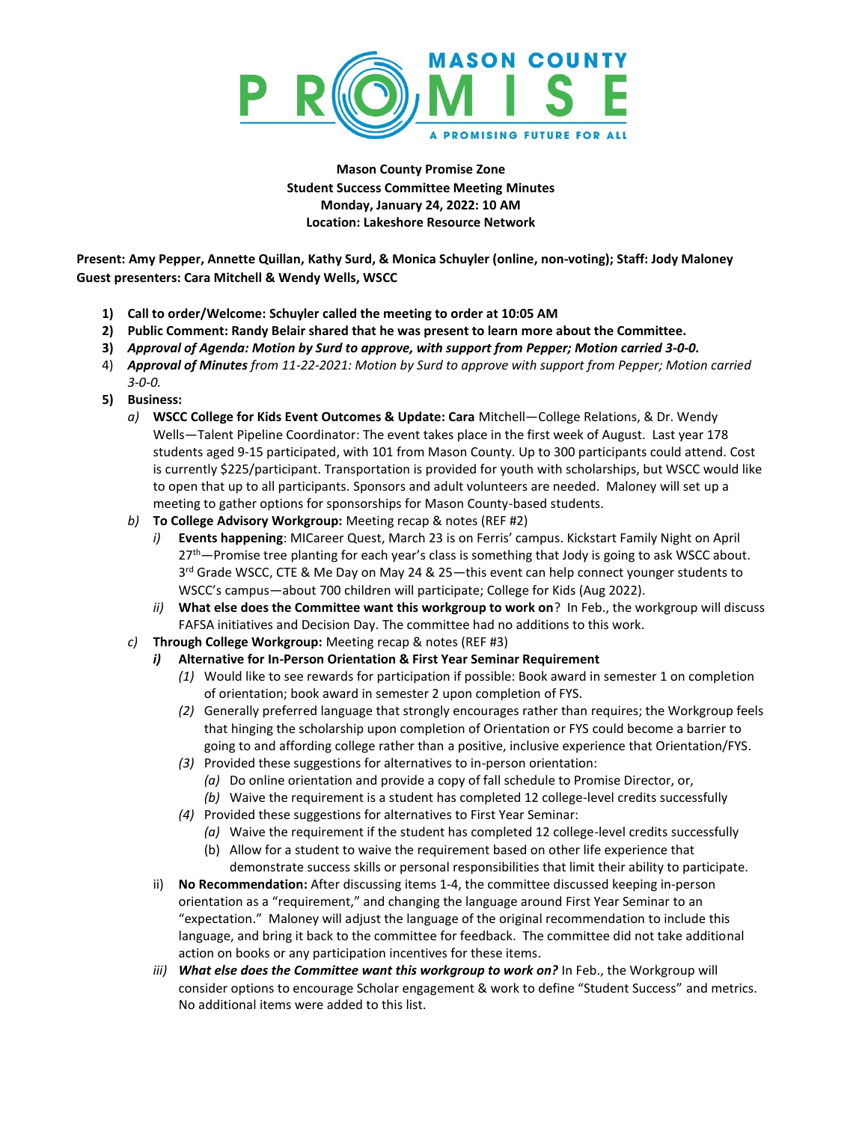

**Mason County Promise Zone Student Success Committee Meeting Minutes Monday, January 24, 2022: 10 AM Location: Lakeshore Resource Network**

**Present: Amy Pepper, Annette Quillan, Kathy Surd, & Monica Schuyler (online, non-voting); Staff: Jody Maloney Guest presenters: Cara Mitchell & Wendy Wells, WSCC**

- **1) Call to order/Welcome: Schuyler called the meeting to order at 10:05 AM**
- **2) Public Comment: Randy Belair shared that he was present to learn more about the Committee.**
- **3)** *Approval of Agenda: Motion by Surd to approve, with support from Pepper; Motion carried 3-0-0.*
- 4) *Approval of Minutes from 11-22-2021: Motion by Surd to approve with support from Pepper; Motion carried 3-0-0.*
- **5) Business:**
	- *a)* **WSCC College for Kids Event Outcomes & Update: Cara** Mitchell—College Relations, & Dr. Wendy Wells—Talent Pipeline Coordinator: The event takes place in the first week of August. Last year 178 students aged 9-15 participated, with 101 from Mason County. Up to 300 participants could attend. Cost is currently \$225/participant. Transportation is provided for youth with scholarships, but WSCC would like to open that up to all participants. Sponsors and adult volunteers are needed. Maloney will set up a meeting to gather options for sponsorships for Mason County-based students.
	- *b)* **To College Advisory Workgroup:** Meeting recap & notes (REF #2)
		- *i)* **Events happening**: MICareer Quest, March 23 is on Ferris' campus. Kickstart Family Night on April  $27<sup>th</sup>$ -Promise tree planting for each year's class is something that Jody is going to ask WSCC about. 3<sup>rd</sup> Grade WSCC, CTE & Me Day on May 24 & 25—this event can help connect younger students to WSCC's campus—about 700 children will participate; College for Kids (Aug 2022).
		- *ii)* **What else does the Committee want this workgroup to work on**? In Feb., the workgroup will discuss FAFSA initiatives and Decision Day. The committee had no additions to this work.
	- *c)* **Through College Workgroup:** Meeting recap & notes (REF #3)
		- *i)* **Alternative for In-Person Orientation & First Year Seminar Requirement**
			- *(1)* Would like to see rewards for participation if possible: Book award in semester 1 on completion of orientation; book award in semester 2 upon completion of FYS.
			- *(2)* Generally preferred language that strongly encourages rather than requires; the Workgroup feels that hinging the scholarship upon completion of Orientation or FYS could become a barrier to going to and affording college rather than a positive, inclusive experience that Orientation/FYS.
			- *(3)* Provided these suggestions for alternatives to in-person orientation:
				- *(a)* Do online orientation and provide a copy of fall schedule to Promise Director, or,
				- *(b)* Waive the requirement is a student has completed 12 college-level credits successfully
			- *(4)* Provided these suggestions for alternatives to First Year Seminar:
				- *(a)* Waive the requirement if the student has completed 12 college-level credits successfully
				- (b) Allow for a student to waive the requirement based on other life experience that
				- demonstrate success skills or personal responsibilities that limit their ability to participate.
		- ii) **No Recommendation:** After discussing items 1-4, the committee discussed keeping in-person orientation as a "requirement," and changing the language around First Year Seminar to an "expectation." Maloney will adjust the language of the original recommendation to include this language, and bring it back to the committee for feedback. The committee did not take additional action on books or any participation incentives for these items.
		- *iii) What else does the Committee want this workgroup to work on?* In Feb., the Workgroup will consider options to encourage Scholar engagement & work to define "Student Success" and metrics. No additional items were added to this list.